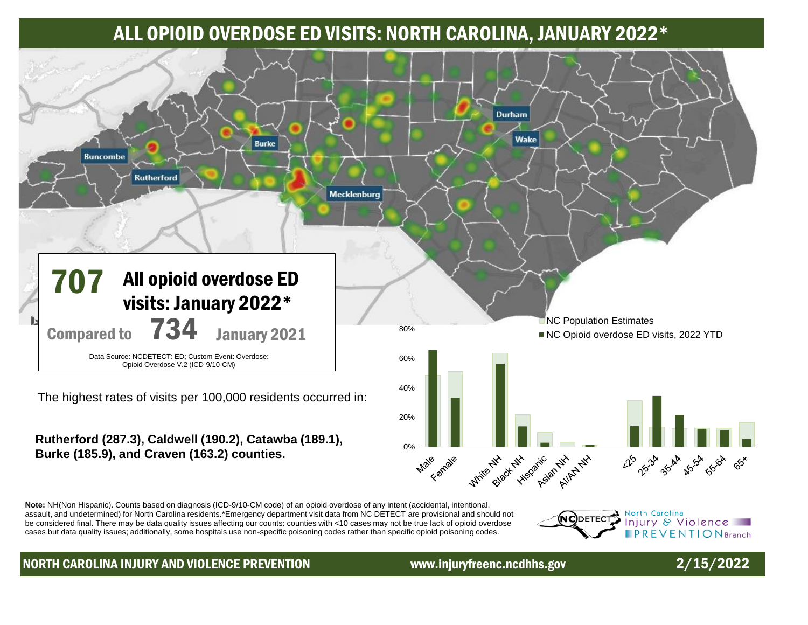# ALL OPIOID OVERDOSE ED VISITS: NORTH CAROLINA, JANUARY 2022\*



### **Rutherford (287.3), Caldwell (190.2), Catawba (189.1), Burke (185.9), and Craven (163.2) counties.**

0% Biggat His H Hitspanic iale <sub>Kernale</sub> **Write Black** Asjan AllAy Av Male 225 234 254 254 350 65

**Note:** NH(Non Hispanic). Counts based on diagnosis (ICD-9/10-CM code) of an opioid overdose of any intent (accidental, intentional, assault, and undetermined) for North Carolina residents.\*Emergency department visit data from NC DETECT are provisional and should not be considered final. There may be data quality issues affecting our counts: counties with <10 cases may not be true lack of opioid overdose cases but data quality issues; additionally, some hospitals use non-specific poisoning codes rather than specific opioid poisoning codes.

### North Carolina (NC)DETEC Injury & Violence **PREVENTIONBranch**

## NORTH CAROLINA INJURY AND VIOLENCE PREVENTION www.injuryfreenc.ncdhhs.gov 2/15/2022